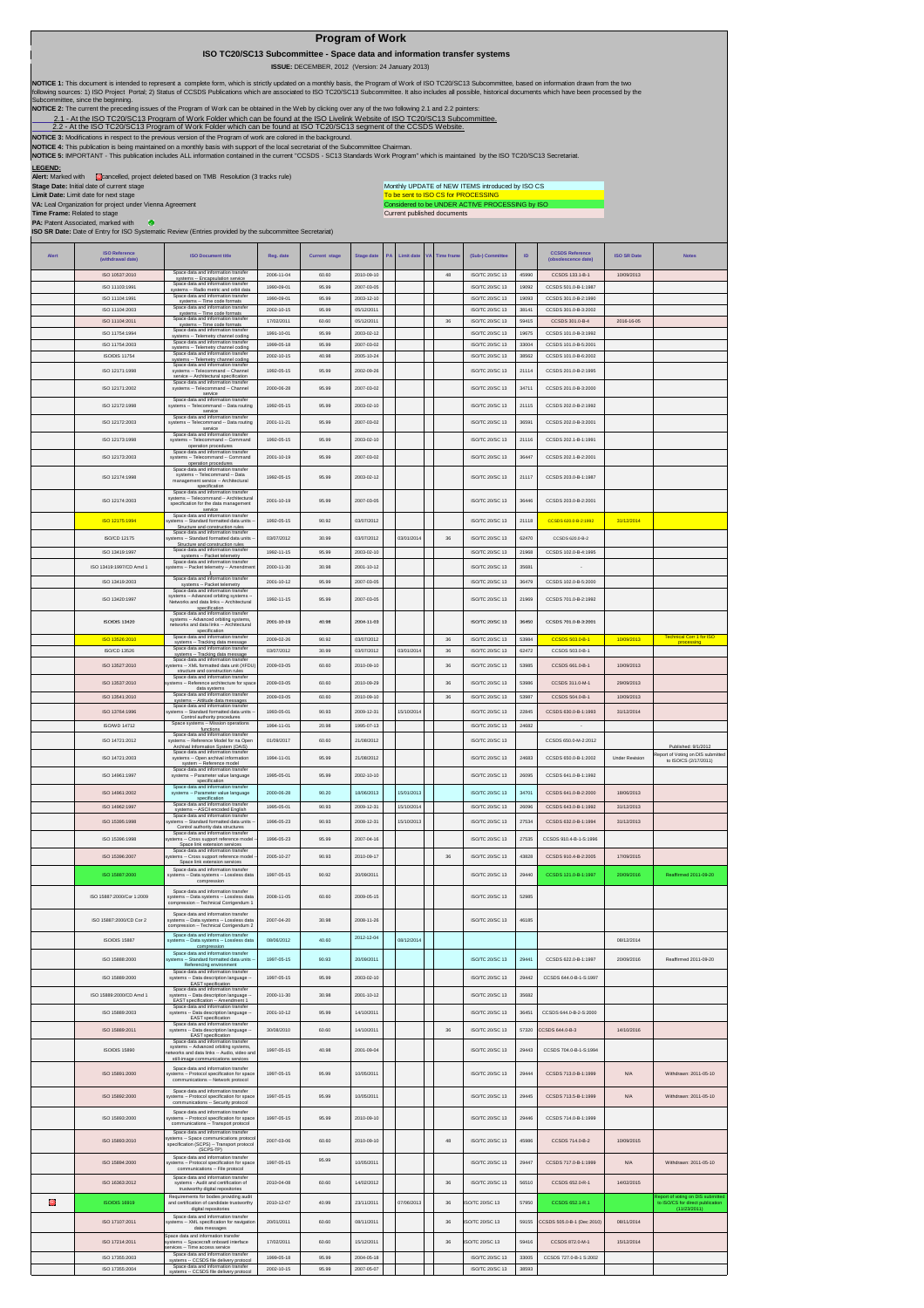| <b>Program of Work</b> |  |  |
|------------------------|--|--|
|                        |  |  |

 **ISO TC20/SC13 Subcommittee - Space data and information transfer systems**

 **ISSUE:** DECEMBER, 2012 (Version: 24 January 2013)

NOTICE 1: This document is intended to represent a complete form, which is strictly updated on a monthly basis, the Program of Work of ISO TC20/SC13 Subcommittee, based on information drawn from the two<br>following sources:

**NOTICE 2:** The current the preceding issues of the Program of Work can be obtained in the Web by clicking over any of the two following 2.1 and 2.2 pointers:

2.1 - At the ISO TC20/SC13 Program of Work Folder which can be found at the ISO Livelink Website of ISO TC20/SC13 Subcommittee.<br>2.2 - At the ISO TC20/SC13 Program of Work Folder which can be found at ISO TC20/SC13 segment

**NOTICE 3:** Modifications in respect to the previous version of the Program of work are colored in the background.

NOTICE 4: This publication is being maintained on a monthly basis with support of the local secretariat of the Subcommittee Chairman.<br>NOTICE 5: IMPORTANT - This publication includes ALL information contained in the current

**LEGEND:**<br>**Alert:** Marked with Cancelled, project deleted based on TMB Resolution (3 tracks rule)

**Stage Date:** Initial date of current stage **Limit Date:** Limit date for next stage **VA:** Leal Organization for project under Vienna Agreement

Considered to be UNDER ACTIVE PROCESSING by ISO<br>Current published documents Monthly UPDATE of NEW ITEMS introduced by ISO CS To be sent to ISO CS for PROCESSING

**Time Frame:** Related to stage **PA:** Patent Associated, marked with **ISO SR Date:** Date of Entry for ISO Systematic Review (Entries provided by the subcommittee Secretariat)

|       |                                           | .                                                                                                                |            |                      |            |            |                  |                        |       |                                               |                       |                                                                       |
|-------|-------------------------------------------|------------------------------------------------------------------------------------------------------------------|------------|----------------------|------------|------------|------------------|------------------------|-------|-----------------------------------------------|-----------------------|-----------------------------------------------------------------------|
| Alert | <b>ISO Reference</b><br>(withdrawal date) | <b>ISO Document title</b>                                                                                        | Reg. date  | <b>Current stage</b> | Stage date | Limit date | <b>Time fram</b> | (Sub-) Committee       | ID    | <b>CCSDS Reference</b><br>(obsolescence date) | <b>ISO SR Date</b>    | <b>Notes</b>                                                          |
|       | ISO 10537:2010                            | Space data and information transfer<br>systems -- Encapsulation service                                          | 2006-11-04 | 60.60                | 2010-09-10 |            | 48               | ISO/TC 20/SC 13        | 45990 | CCSDS 133.1-B-1                               | 10/09/2013            |                                                                       |
|       | ISO 11103:1991                            | Space data and inform                                                                                            | 1990-09-01 | 95.99                | 2007-03-05 |            |                  | ISO/TC 20/SC 13        | 19092 | CCSDS 501.0-B-1:1987                          |                       |                                                                       |
|       | ISO 11104:1991                            | systems -- Radio metric and orbit data<br>Space data and information transfer                                    | 1990-09-01 | 95.99                | 2003-12-10 |            |                  | ISO/TC 20/SC 13        | 19093 | CCSDS 301.0-B-2:1990                          |                       |                                                                       |
|       | ISO 11104:2003                            | systems -- Time code formats<br>Space data and information transfer                                              | 2002-10-15 | 95.99                | 05/12/2011 |            |                  | ISO/TC 20/SC 13        | 38141 | CCSDS 301.0-B-3:2002                          |                       |                                                                       |
|       | ISO 11104:2011                            | systems -- Time code formats<br>Space data and information transfer<br>systems -- Time code formats              | 17/02/2011 | 60.60                | 05/12/2011 |            | $36\,$           | ISO/TC 20/SC 13        | 59415 | CCSDS 301.0-B-4                               | 2016-16-05            |                                                                       |
|       | ISO 11754:1994                            | Space data and info<br>systems -- Telemetry channel coding                                                       | 1991-10-01 | 95.99                | 2003-02-12 |            |                  | ISO/TC 20/SC 13        | 19675 | CCSDS 101.0-B-3:1992                          |                       |                                                                       |
|       | ISO 11754:2003                            | Space data and info.<br>systems -- Telemetry channel coding                                                      | 1999-05-18 | 95.99                | 2007-03-02 |            |                  | ISO/TC 20/SC 13        | 33004 | CCSDS 101.0-B-5:2001                          |                       |                                                                       |
|       | ISO/DIS 11754                             | ace data and in<br>systems -- Telemetry channel coding                                                           | 2002-10-15 | 40.98                | 2005-10-24 |            |                  | ISO/TC 20/SC 13        | 38562 | CCSDS 101.0-B-6:2002                          |                       |                                                                       |
|       | ISO 12171:1998                            | Space data and information transfe<br>systems - Telecommand - Channel                                            | 1992-05-15 | 95.99                | 2002-09-26 |            |                  | ISO/TC 20/SC 13        | 21114 | CCSDS 201.0-B-2:1995                          |                       |                                                                       |
|       |                                           | service -- Architectural specification<br>Space data and information transfer                                    |            |                      |            |            |                  |                        |       |                                               |                       |                                                                       |
|       | ISO 12171:2002                            | systems - Telecommand -- Channel<br>service<br>Space data and information transfer                               | 2000-06-28 | 95.99                | 2007-03-02 |            |                  | ISO/TC 20/SC 13        | 34711 | CCSDS 201.0-B-3:2000                          |                       |                                                                       |
|       | ISO 12172:1998                            | systems -- Telecommand -- Data routing<br>service                                                                | 1992-05-15 | 95.99                | 2003-02-10 |            |                  | ISO/TC 20/SC 13        | 21115 | CCSDS 202.0-B-2:1992                          |                       |                                                                       |
|       | ISO 12172:2003                            | Space data and information transfer<br>systems -- Telecommand -- Data routing                                    | 2001-11-21 | 95.99                | 2007-03-02 |            |                  | ISO/TC 20/SC 13        | 36591 | CCSDS 202.0-B-3:2001                          |                       |                                                                       |
|       |                                           | service<br>Space data and information transfer                                                                   |            |                      |            |            |                  |                        |       |                                               |                       |                                                                       |
|       | ISO 12173:1998                            | systems -- Telecommand -- Command<br>operation procedures                                                        | 1992-05-15 | 95.99                | 2003-02-10 |            |                  | ISO/TC 20/SC 13        | 21116 | CCSDS 202.1-B-1:1991                          |                       |                                                                       |
|       | ISO 12173:2003                            | Space data and information transfer<br>systems -- Telecommand -- Command                                         | 2001-10-19 | 95.99                | 2007-03-02 |            |                  | ISO/TC 20/SC 13        | 36447 | CCSDS 202 1-B-2:2001                          |                       |                                                                       |
|       |                                           | operation procedures<br>Space data and information transfer<br>systems -- Telecommand -- Data                    |            |                      |            |            |                  |                        |       |                                               |                       |                                                                       |
|       | ISO 12174:1998                            | management service -- Architectural<br>specification                                                             | 1992-05-15 | 95.99                | 2003-02-12 |            |                  | ISO/TC 20/SC 13        | 21117 | CCSDS 203.0-B-1:1987                          |                       |                                                                       |
|       | ISO 12174:2003                            | Space data and information transfer<br>systems -- Telecommand -- Architectura                                    | 2001-10-19 | 95.99                | 2007-03-05 |            |                  | ISO/TC 20/SC 13        | 36446 | CCSDS 203.0-B-2:2001                          |                       |                                                                       |
|       |                                           | specification for the data management<br>service<br>Space data and information transfer                          |            |                      |            |            |                  |                        |       |                                               |                       |                                                                       |
|       | ISO 12175:1994                            | ystems -- Standard formatted data units<br>Structure and construction rules                                      | 1992-05-15 | 90.92                | 03/07/2012 |            |                  | ISO/TC 20/SC 13        | 21118 | CCSDS 620.0-B-2:1992                          | 31/12/2014            |                                                                       |
|       | ISO/CD 12175                              | Space data and information transfer<br>vstems -- Standard formatted data units                                   | 03/07/2012 | 30.99                | 03/07/2012 | 03/01/2014 | $36\,$           | ISO/TC 20/SC 13        | 62470 | CCSDS 620.0-B-2                               |                       |                                                                       |
|       | ISO 13419:1997                            | Structure and construction rules<br>Space data and inform<br>on transfer                                         | 1992-11-15 | 95.99                | 2003-02-10 |            |                  | ISO/TC 20/SC 13        | 21968 | CCSDS 102.0-B-4:1995                          |                       |                                                                       |
|       |                                           | systems -- Packet telemetry<br>Space data and inform:                                                            |            |                      |            |            |                  |                        |       |                                               |                       |                                                                       |
|       | ISO 13419-1997/CD Amd 1                   | stems -- Packet telemetry -- Amendme                                                                             | 2000-11-30 | 30.98                | 2001-10-12 |            |                  | ISO/TC 20/SC 13        | 35681 |                                               |                       |                                                                       |
|       | ISO 13419-2003                            | Space data and information transfer<br>systems -- Packet telemetry<br>Space data and information transfer        | 2001-10-12 | 95.99                | 2007-03-05 |            |                  | ISO/TC 20/SC 13        | 36479 | CCSDS 102.0-B-5:2000                          |                       |                                                                       |
|       | ISO 13420:1997                            | systems -- Advanced orbiting systems<br>Networks and data links -- Architectural                                 | 1992-11-15 | 95.99                | 2007-03-05 |            |                  | ISO/TC 20/SC 13        | 21969 | CCSDS 701.0-B-2:1992                          |                       |                                                                       |
|       |                                           | specification<br>Space data and information transfer                                                             |            |                      |            |            |                  |                        |       |                                               |                       |                                                                       |
|       | <b>ISO/DIS 13420</b>                      | systems -- Advanced orbiting systems<br>networks and data links -- Architectural                                 | 2001-10-19 | 40.98                | 2004-11-03 |            |                  | ISO/TC 20/SC 13        | 36450 | CCSDS 701.0-B-3:2001                          |                       |                                                                       |
|       | ISO 13526:2010                            | specification<br>Space data and information transfer                                                             | 2009-02-26 | 90.92                | 03/07/2012 |            | 36               | ISO/TC 20/SC 13        | 53984 | CCSDS 503.0-B-1                               | 10/09/2013            | Technical Corr 1 for ISO                                              |
|       | ISO/CD 13526                              | systems -- Tracking data message<br>Space data and information transfer                                          | 03/07/2012 | 30.99                | 03/07/2012 | 03/01/2014 | 36               | ISO/TC 20/SC 13        | 62472 | CCSDS 503.0-B-1                               |                       |                                                                       |
|       | ISO 13527:2010                            | systems -- Tracking data message<br>Space data and information transfe<br>stems -- XML formatted data unit (XFDL | 2009-03-05 | 60.60                | 2010-09-10 |            | $_{\rm 36}$      | ISO/TC 20/SC 13        | 53985 | CCSDS 661.0-B-1                               | 10/09/2013            |                                                                       |
|       |                                           | structure and construction rules<br>Space data and information transfer                                          |            |                      |            |            |                  |                        |       |                                               |                       |                                                                       |
|       | ISO 13537:2010                            | ystems -- Reference architecture for spa<br>data systems                                                         | 2009-03-05 | 60.60                | 2010-09-29 |            | 36               | ISO/TC 20/SC 13        | 53986 | CCSDS 311.0-M-1                               | 29/09/2013            |                                                                       |
|       | ISO 13541:2010                            | Space data and information transfer<br>systems -- Attitude data messages                                         | 2009-03-05 | 60.60                | 2010-09-10 |            | $36\,$           | ISO/TC 20/SC 13        | 53987 | CCSDS 504.0-B-1                               | 10/09/2013            |                                                                       |
|       | ISO 13764:1996                            | Space data and information transfer<br>ystems -- Standard formatted data units                                   | 1993-05-01 | 90.93                | 2009-12-31 | 15/10/2014 |                  | ISO/TC 20/SC 13        | 22845 | CCSDS 630.0-B-1:1993                          | 31/12/2014            |                                                                       |
|       | <b>ISO/WD 14712</b>                       | Control authority procedures<br>Space systems - Mission operations<br>functions                                  | 1994-11-01 | 20.98                | 1995-07-13 |            |                  | ISO/TC 20/SC 13        | 24682 |                                               |                       |                                                                       |
|       | ISO 14721:2012                            | Space data and information transfer<br>systems -- Reference Model for na Open                                    | 01/09/2017 | 60.60                | 21/08/2012 |            |                  | ISO/TC 20/SC 13        |       | CCSDS 650.0-M-2:2012                          |                       |                                                                       |
|       |                                           | Archival Information System (OAIS)<br>Space data and information transfer                                        |            |                      |            |            |                  |                        |       |                                               |                       | Published: 9/1/2012<br>Report of Voting on DIS submitted              |
|       | ISO 14721:2003                            | systems - Open archival information<br>system -- Reference model                                                 | 1994-11-01 | 95.99                | 21/08/2012 |            |                  | ISO/TC 20/SC 13        | 24683 | CCSDS 650.0-B-1:2002                          | <b>Under Revision</b> | to ISO/CS (2/17/2011)                                                 |
|       | ISO 14961:1997                            | Space data and information transfer<br>systems -- Parameter value language                                       | 1995-05-01 | 95.99                | 2002-10-10 |            |                  | ISO/TC 20/SC 13        | 26095 | CCSDS 641.0-B-1:1992                          |                       |                                                                       |
|       | ISO 14961:2002                            | specification<br>Space data and information transfer<br>systems -- Parameter value language                      | 2000-06-28 | 90.20                | 18/06/2013 | 15/01/2013 |                  | ISO/TC 20/SC 13        | 34701 | CCSDS 641.0-B-2:2000                          | 18/06/2013            |                                                                       |
|       |                                           | specification<br>Space data and information transfer                                                             |            |                      |            |            |                  |                        |       |                                               |                       |                                                                       |
|       | ISO 14962:1997                            | systems -- ASCII encoded English<br>Space data and information transfer                                          | 1995-05-01 | 90.93                | 2009-12-31 | 15/10/2014 |                  | <b>ISO/TC 20/SC 13</b> | 26096 | CCSDS 643.0-B-1:1992                          | 31/12/2013            |                                                                       |
|       | ISO 15395:1998                            | ems -- Standard formatted data units<br>Control authority data structures                                        | 1996-05-23 | 90.93                | 2008-12-31 | 15/10/2013 |                  | ISO/TC 20/SC 13        | 27534 | CCSDS 632.0-B-1:1994                          | 31/12/2013            |                                                                       |
|       | ISO 15396:1998                            | Space data and information transfer<br>estems -- Cross support reference model                                   | 1996-05-23 | 95.99                | 2007-04-16 |            |                  | ISO/TC 20/SC 13        | 27535 | CCSDS 910.4-B-1-S:1996                        |                       |                                                                       |
|       | ISO 15396:2007                            | Space link extension services<br>Space data and information transfer<br>stems -- Cross support reference model   | 2005-10-27 | 90.93                | 2010-09-17 |            | 36               | ISO/TC 20/SC 13        | 43828 | CCSDS 910.4-B-2:2005                          | 17/09/2015            |                                                                       |
|       |                                           | Space link extension services<br>Space data and information transfer                                             |            |                      |            |            |                  |                        |       |                                               |                       |                                                                       |
|       | ISO 15887-2000                            | systems -- Data systems -- Lossless data<br>compression                                                          | 1997-05-15 | 90.92                | 20/09/2011 |            |                  | ISO/TC 20/SC 13        | 29440 | CCSDS 121.0-B-1:1997                          | 20/09/2016            | Reaffirmed 2011-09-20                                                 |
|       |                                           | Space data and information transfer<br>systems -- Data systems -- Lossless da                                    |            |                      |            |            |                  |                        |       |                                               |                       |                                                                       |
|       | ISO 15887:2000/Cor 1:2009                 | compression -- Technical Corrigendum 1                                                                           | 2008-11-05 | 60.60                | 2009-05-15 |            |                  | ISO/TC 20/SC 13        | 52985 |                                               |                       |                                                                       |
|       | ISO 15887:2000/CD Cor 2                   | Space data and information transfer<br>systems -- Data systems -- Lossless data                                  | 2007-04-20 | 30.98                | 2008-11-26 |            |                  | <b>ISO/TC 20/SC 13</b> | 46185 |                                               |                       |                                                                       |
|       |                                           | compression - Technical Corrigendum 2                                                                            |            |                      |            |            |                  |                        |       |                                               |                       |                                                                       |
|       | <b>ISO/DIS 15887</b>                      | Space data and information transfer<br>systems -- Data systems -- Lossless data                                  | 08/06/2012 | 40.60                | 2012-12-04 | 08/12/2014 |                  |                        |       |                                               | 08/12/2014            |                                                                       |
|       | ISO 15888:2000                            | mpression<br>Space data and information transfer<br>ns -- Standard formatted data units                          | 1997-05-15 | 90.93                | 20/09/2011 |            |                  | ISO/TC 20/SC 13        | 29441 | CCSDS 622.0-B-1:1997                          | 20/09/2016            | Reaffirmed 2011-09-20                                                 |
|       |                                           | Referencing environment<br>Space data and information transfer                                                   |            |                      |            |            |                  |                        |       |                                               |                       |                                                                       |
|       | ISO 15889:2000                            | systems -- Data description language -<br>EAST specification                                                     | 1997-05-15 | 95.99                | 2003-02-10 |            |                  | ISO/TC 20/SC 13        | 29442 | CCSDS 644.0-B-1-S:1997                        |                       |                                                                       |
|       | ISO 15889:2000/CD Amd 1                   | Space data and information transfer<br>systems -- Data description language -                                    | 2000-11-30 | 30.98                | 2001-10-12 |            |                  | ISO/TC 20/SC 13        | 35682 |                                               |                       |                                                                       |
|       |                                           | EAST specification -- Amendment 1<br>Space data and information transfer                                         |            |                      |            |            |                  |                        |       |                                               |                       |                                                                       |
|       | ISO 15889:2003                            | systems -- Data description language -<br><b>EAST</b> specification<br>Space data and information transfer       | 2001-10-12 | 95.99                | 14/10/2011 |            |                  | ISO/TC 20/SC 13        | 36451 | CCSDS 644.0-B-2-S:2000                        |                       |                                                                       |
|       | ISO 15889:2011                            | systems -- Data description language -<br>EAST specification                                                     | 30/08/2010 | 60.60                | 14/10/2011 |            | 36               | ISO/TC 20/SC 13        | 57320 | CSDS 644.0-B-3                                | 14/10/2016            |                                                                       |
|       |                                           | Space data and information transfe<br>systems -- Advanced orbiting systems,                                      |            |                      |            |            |                  |                        |       |                                               |                       |                                                                       |
|       | <b>ISO/DIS 15890</b>                      | stworks and data links -- Audio, video and<br>still-image communications services                                | 1997-05-15 | 40.98                | 2001-09-04 |            |                  | ISO/TC 20/SC 13        | 29443 | CCSDS 704.0-B-1-S:1994                        |                       |                                                                       |
|       | ISO 15891:2000                            | Space data and information transfer<br>systems -- Protocol specification for spac                                | 1997-05-15 | 95.99                | 10/05/2011 |            |                  | ISO/TC 20/SC 13        | 29444 | CCSDS 713.0-B-1:1999                          | N/A                   | Withdrawn: 2011-05-10                                                 |
|       |                                           | communications -- Network protocol                                                                               |            |                      |            |            |                  |                        |       |                                               |                       |                                                                       |
|       | ISO 15892:2000                            | Space data and information transfer<br>tems -- Protocol specification for spac                                   | 1997-05-15 | 95.99                | 10/05/2011 |            |                  | ISO/TC 20/SC 13        | 29445 | CCSDS 713.5-B-1:1999                          | N/A                   | Withdrawn: 2011-05-10                                                 |
|       |                                           | communications -- Security protocol<br>Space data and information transfer                                       |            |                      |            |            |                  |                        |       |                                               |                       |                                                                       |
|       | ISO 15893:2000                            | ystems -- Protocol specification for spac<br>communications -- Transport protocol                                | 1997-05-15 | 95.99                | 2010-09-10 |            |                  | ISO/TC 20/SC 13        | 29446 | CCSDS 714.0-B-1:1999                          |                       |                                                                       |
|       |                                           | Space data and information transfer                                                                              |            |                      |            |            |                  |                        |       |                                               |                       |                                                                       |
|       | ISO 15893:2010                            | systems -- Space communications protoco<br>specification (SCPS) -- Transport protocol<br>(SCPS-TP)               | 2007-03-06 | 60.60                | 2010-09-10 |            | 48               | ISO/TC 20/SC 13        | 45986 | CCSDS 714.0-B-2                               | 10/09/2015            |                                                                       |
|       | ISO 15894:2000                            | Space data and information transfer<br>systems -- Protocol specification for spac-                               | 1997-05-15 | 95.99                | 10/05/2011 |            |                  | ISO/TC 20/SC 13        | 29447 | CCSDS 717.0-B-1:1999                          | N/A                   | Withdrawn: 2011-05-10                                                 |
|       |                                           | communications -- File protocol<br>Space data and information transfer                                           |            |                      |            |            |                  |                        |       |                                               |                       |                                                                       |
|       | ISO 16363:2012                            | systems - Audit and certification of<br>trustworthy digital repositories                                         | 2010-04-08 | 60.60                | 14/02/2012 |            | 36               | ISO/TC 20/SC 13        | 56510 | CCSDS 652.0-R-1                               | 14/02/2015            |                                                                       |
| О     | <b>ISO/DIS 16919</b>                      | Requirements for bodies providing audit<br>and certification of candidate trustworthy                            | 2010-12-07 | 40.99                | 23/11/2011 | 07/06/2013 | 36               | SO/TC 20/SC 13         | 57950 | CCSDS 652.1-R.1                               |                       | Report of voting on DIS submitted<br>to ISO/CS for direct publication |
|       |                                           | digital repositories                                                                                             |            |                      |            |            |                  |                        |       |                                               |                       | (11/23/2011)                                                          |
|       | ISO 17107:2011                            | Space data and information transfer<br>systems -- XML specification for navigation<br>data messages              | 20/01/2011 | 60.60                | 08/11/2011 |            | 36               | <b>ISO/TC 20/SC 13</b> | 59155 | CCSDS 505.0-B-1 (Dec 2010)                    | 08/11/2014            |                                                                       |
|       |                                           | Space data and information transfer                                                                              |            |                      |            |            |                  |                        |       |                                               |                       |                                                                       |
|       | ISO 17214:2011                            | systems -- Spacecraft onboard interface<br>rvices -- Time access service<br>Space data and information transfer  | 17/02/2011 | 60.60                | 15/12/2011 |            | 36               | SO/TC 20/SC 13         | 59416 | CCSDS 872.0-M-1                               | 15/12/2014            |                                                                       |
|       | ISO 17355:2003                            | systems -- CCSDS file delivery protocol<br>Space data and information transfer                                   | 1999-05-18 | 95.99                | 2004-05-18 |            |                  | ISO/TC 20/SC 13        | 33005 | CCSDS 727.0-B-1 S:2002                        |                       |                                                                       |
|       | ISO 17355:2004                            | systems -- CCSDS file delivery protocol                                                                          | 2002-10-15 | 95.99                | 2007-05-07 |            |                  | ISO/TC 20/SC 13        | 38593 |                                               |                       |                                                                       |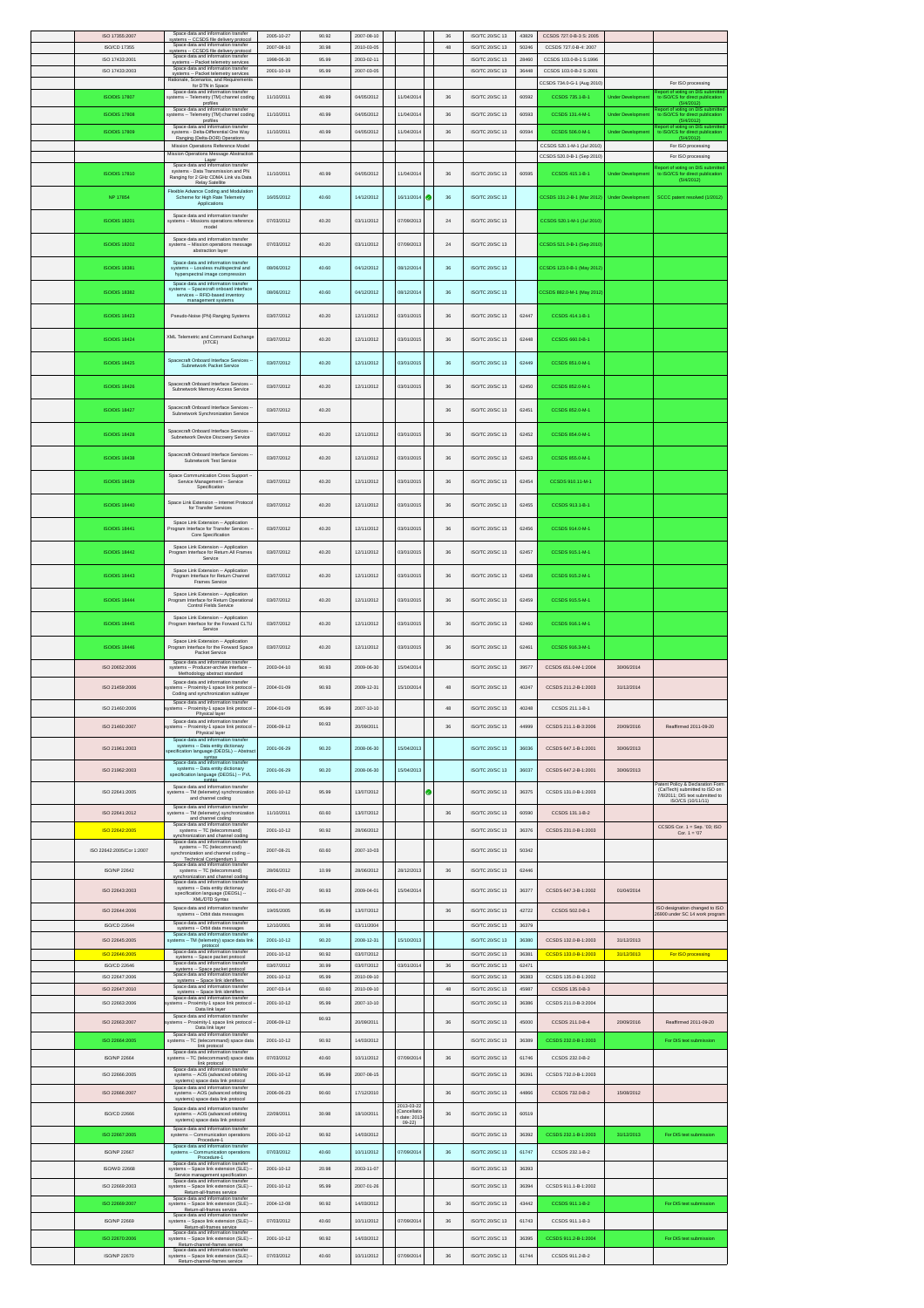| ISO 17355:2007                 | Space data and information transfer<br>systems -- CCSDS file delivery protocol                                                                              | 2005-10-27               | 90.92          | 2007-08-10               |                                        | 36          | ISO/TC 20/SC 13                           | 43829          | CCSDS 727.0-B-3 S: 2005                                  |                          |                                                                                           |
|--------------------------------|-------------------------------------------------------------------------------------------------------------------------------------------------------------|--------------------------|----------------|--------------------------|----------------------------------------|-------------|-------------------------------------------|----------------|----------------------------------------------------------|--------------------------|-------------------------------------------------------------------------------------------|
| ISO/CD 17355                   | Space data and information transfer<br>systems -- CCSDS file delivery protocol                                                                              | 2007-08-10               | 30.98          | 2010-03-05               |                                        | $48\,$      | ISO/TC 20/SC 13                           | 50246          | CCSDS 727.0-B-4: 2007                                    |                          |                                                                                           |
| ISO 17433:2001                 | Space data and information transfer<br>systems -- Packet telemetry services                                                                                 | 1998-06-30               | 95.99          | 2003-02-11               |                                        |             | ISO/TC 20/SC 13                           | 28460          | CCSDS 103.0-B-1 S:1996                                   |                          |                                                                                           |
| ISO 17433:2003                 | Space data and information transfer<br>systems -- Packet telemetry services                                                                                 | 2001-10-19               | 95.99          | 2007-03-05               |                                        |             | ISO/TC 20/SC 13                           | 36448          | CCSDS 103.0-B-2 S:2001                                   |                          |                                                                                           |
|                                | Rationale, Scenarios, and Requirements<br>for DTN in Space                                                                                                  |                          |                |                          |                                        |             |                                           |                | CCSDS 734.0-G-1 (Aug 2010)                               |                          | For ISO processing                                                                        |
| <b>ISO/DIS 17807</b>           | Space data and information transfer<br>systems -- Telemetry (TM) channel coding                                                                             | 11/10/2011               | 40.99          | 04/05/2012               | 11/04/2014                             | 36          | <b>ISO/TC 20/SC 13</b>                    | 60592          | CCSDS 735.1-B-1                                          | <b>Under Developmen</b>  | to ISO/CS for direct publication                                                          |
| <b>ISO/DIS 17808</b>           | profiles<br>Space data and information transfer<br>ystems -- Telemetry (TM) channel coding                                                                  | 11/10/2011               | 40.99          | 04/05/2012               | 11/04/2014                             | 36          | ISO/TC 20/SC 13                           | 60593          | CCSDS 131.4-M-1                                          | <b>Under Developr</b>    | (5/4/2012)<br>report of voting on DIS submitted<br>to ISO/CS for direct publication       |
|                                | profiles<br>Space data and information transfer                                                                                                             |                          |                |                          |                                        |             |                                           |                |                                                          |                          | (5/4/2012)<br>Report of voting on DIS submitted<br>to ISO/CS for direct publication       |
| <b>ISO/DIS 17809</b>           | systems - Delta-Differential One Way<br>Ranging (Delta-DOR) Operations                                                                                      | 11/10/2011               | 40.99          | 04/05/2012               | 11/04/2014                             | $36\,$      | ISO/TC 20/SC 13                           | 60594          | CCSDS 506.0-M-1                                          | <b>Under Developmen</b>  | (5/4/2012)                                                                                |
|                                | Mission Operations Reference Model<br>Mission Operations Message Abstraction                                                                                |                          |                |                          |                                        |             |                                           |                | CCSDS 520.1-M-1 (Jul 2010)<br>CCSDS 520.0-B-1 (Sep 2010) |                          | For ISO processing                                                                        |
|                                | Layer<br>Space data and information transfer                                                                                                                |                          |                |                          |                                        |             |                                           |                |                                                          |                          | For ISO processing                                                                        |
| <b>ISO/DIS 17810</b>           | systems - Data Transmission and PN<br>Ranging for 2 GHz CDMA Link via Data                                                                                  | 11/10/2011               | 40.99          | 04/05/2012               | 11/04/2014                             | 36          | ISO/TC 20/SC 13                           | 60595          | CCSDS 415.1-B-1                                          | <b>Under Development</b> | Report of voting on DIS submitted<br>to ISO/CS for direct publication<br>(6/4/2012)       |
|                                | Relay Satellite<br>Flexible Advance Coding and Modulation                                                                                                   |                          |                |                          |                                        |             |                                           |                |                                                          |                          |                                                                                           |
| NP 17854                       | Scheme for High Rate Telemetry<br>Applications                                                                                                              | 16/05/2012               | 40.60          | 14/12/2012               | 16/11/2014                             | ø<br>36     | ISO/TC 20/SC 13                           |                | CCSDS 131.2-B-1 (Mar 2012)                               | <b>Under Development</b> | SCCC patent resolved (1/2012)                                                             |
| <b>ISO/DIS 18201</b>           | Space data and information transfer<br>systems - Missions operations reference                                                                              | 07/03/2012               | 40.20          | 03/11/2012               | 07/09/2013                             | 24          | ISO/TC 20/SC 13                           |                | CCSDS 520.1-M-1 (Jul 2010)                               |                          |                                                                                           |
|                                | model                                                                                                                                                       |                          |                |                          |                                        |             |                                           |                |                                                          |                          |                                                                                           |
| <b>ISO/DIS 18202</b>           | Space data and information transfer<br>systems -- Mission operations message<br>abstraction layer                                                           | 07/03/2012               | 40.20          | 03/11/2012               | 07/09/2013                             | 24          | <b>ISO/TC 20/SC 13</b>                    |                | CCSDS 521.0-B-1 (Sep 2010                                |                          |                                                                                           |
|                                | Space data and information transfer                                                                                                                         |                          |                |                          |                                        |             |                                           |                |                                                          |                          |                                                                                           |
| <b>ISO/DIS 18381</b>           | systems -- Lossless multispectral and<br>hyperspectral image compression                                                                                    | 08/06/2012               | 40.60          | 04/12/2012               | 08/12/2014                             | 36          | ISO/TC 20/SC 13                           |                | CCSDS 123.0-B-1 (May 2012                                |                          |                                                                                           |
| <b>ISO/DIS 18382</b>           | Space data and information transfer<br>systems -- Spacecraft onboard interface<br>services -- RFID-based inventory                                          | 08/06/2012               | 40.60          | 04/12/2012               | 08/12/2014                             | 36          | ISO/TC 20/SC 13                           |                | CSDS 882.0-M-1 (May 2012                                 |                          |                                                                                           |
|                                | management systems                                                                                                                                          |                          |                |                          |                                        |             |                                           |                |                                                          |                          |                                                                                           |
| <b>ISO/DIS 18423</b>           | Pseudo-Noise (PN) Ranging Systems                                                                                                                           | 03/07/2012               | 40.20          | 12/11/2012               | 03/01/2015                             | 36          | ISO/TC 20/SC 13                           | 62447          | CCSDS 414.1-B-1                                          |                          |                                                                                           |
|                                | XML Telemetric and Command Exchange                                                                                                                         |                          |                |                          |                                        |             |                                           |                |                                                          |                          |                                                                                           |
| <b>ISO/DIS 18424</b>           | (XTCE)                                                                                                                                                      | 03/07/2012               | 40.20          | 12/11/2012               | 03/01/2015                             | $36\,$      | ISO/TC 20/SC 13                           | 62448          | CCSDS 660.0-B-1                                          |                          |                                                                                           |
| <b>ISO/DIS 18425</b>           | Spacecraft Onboard Interface Services                                                                                                                       | 03/07/2012               | 40.20          | 12/11/2012               | 03/01/2015                             | 36          | <b>ISO/TC 20/SC 13</b>                    | 62449          | CCSDS 851.0-M-1                                          |                          |                                                                                           |
|                                | Subnetwork Packet Service                                                                                                                                   |                          |                |                          |                                        |             |                                           |                |                                                          |                          |                                                                                           |
| <b>ISO/DIS 18426</b>           | Spacecraft Onboard Interface Services<br>Subnetwork Memory Access Service                                                                                   | 03/07/2012               | 40.20          | 12/11/2012               | 03/01/2015                             | 36          | ISO/TC 20/SC 13                           | 62450          | CCSDS 852.0-M-1                                          |                          |                                                                                           |
|                                | Spacecraft Onboard Interface Services                                                                                                                       |                          |                |                          |                                        |             |                                           |                |                                                          |                          |                                                                                           |
| <b>ISO/DIS 18427</b>           | Subnetwork Synchronization Service                                                                                                                          | 03/07/2012               | 40.20          |                          |                                        | 36          | ISO/TC 20/SC 13                           | 62451          | CCSDS 852.0-M-1                                          |                          |                                                                                           |
| <b>ISO/DIS 18428</b>           | Spacecraft Onboard Interface Services<br>Subnetwork Device Discovery Service                                                                                | 03/07/2012               | 40.20          | 12/11/2012               | 03/01/2015                             | 36          | ISO/TC 20/SC 13                           | 62452          | CCSDS 854.0-M-1                                          |                          |                                                                                           |
|                                |                                                                                                                                                             |                          |                |                          |                                        |             |                                           |                |                                                          |                          |                                                                                           |
| <b>ISO/DIS 18438</b>           | Spacecraft Onboard Interface Services<br>Subnetwork Test Service                                                                                            | 03/07/2012               | 40.20          | 12/11/2012               | 03/01/2015                             | 36          | ISO/TC 20/SC 13                           | 62453          | CCSDS 855.0-M-1                                          |                          |                                                                                           |
|                                | Space Communication Cross Support                                                                                                                           |                          |                |                          |                                        |             |                                           |                |                                                          |                          |                                                                                           |
| <b>ISO/DIS 18439</b>           | Service Management -- Service<br>Specification                                                                                                              | 03/07/2012               | 40.20          | 12/11/2012               | 03/01/2015                             | 36          | ISO/TC 20/SC 13                           | 62454          | CCSDS 910.11-M-1                                         |                          |                                                                                           |
| <b>ISO/DIS 18440</b>           | Space Link Extension -- Internet Protoco<br>for Transfer Services                                                                                           | 03/07/2012               | 40.20          | 12/11/2012               | 03/01/2015                             | 36          | <b>ISO/TC 20/SC 13</b>                    | 62455          | CCSDS 913.1-B-1                                          |                          |                                                                                           |
|                                | Space Link Extension -- Application                                                                                                                         |                          |                |                          |                                        |             |                                           |                |                                                          |                          |                                                                                           |
| <b>ISO/DIS 18441</b>           | Program Interface for Transfer Services<br>Core Specification                                                                                               | 03/07/2012               | 40.20          | 12/11/2012               | 03/01/2015                             | 36          | <b>ISO/TC 20/SC 13</b>                    | 62456          | CCSDS 914.0-M-1                                          |                          |                                                                                           |
| <b>ISO/DIS 18442</b>           | Space Link Extension -- Application<br>Program Interface for Return All Frames                                                                              | 03/07/2012               | 40.20          | 12/11/2012               | 03/01/2015                             | 36          | ISO/TC 20/SC 13                           | 62457          | CCSDS 915.1-M-1                                          |                          |                                                                                           |
|                                | Service                                                                                                                                                     |                          |                |                          |                                        |             |                                           |                |                                                          |                          |                                                                                           |
| <b>ISO/DIS 18443</b>           | Space Link Extension -- Application<br>Program Interface for Return Channel<br>Frames Service                                                               | 03/07/2012               | 40.20          | 12/11/2012               | 03/01/2015                             | 36          | ISO/TC 20/SC 13                           | 62458          | CCSDS 915.2-M-1                                          |                          |                                                                                           |
| <b>ISO/DIS 18444</b>           | Space Link Extension -- Application<br>Program Interface for Return Operational                                                                             | 03/07/2012               | 40.20          | 12/11/2012               | 03/01/2015                             | 36          | ISO/TC 20/SC 13                           | 62459          | CCSDS 915.5-M-1                                          |                          |                                                                                           |
|                                | Control Fields Service                                                                                                                                      |                          |                |                          |                                        |             |                                           |                |                                                          |                          |                                                                                           |
| <b>ISO/DIS 18445</b>           | Space Link Extension -- Applicatio<br>Program Interface for the Forward CLTU<br>Service                                                                     | 03/07/2012               | 40.20          | 12/11/2012               | 03/01/2015                             | 36          | ISO/TC 20/SC 13                           | 62460          | CCSDS 916.1-M-1                                          |                          |                                                                                           |
|                                |                                                                                                                                                             |                          |                |                          |                                        |             |                                           |                |                                                          |                          |                                                                                           |
|                                | Space Link Extension -- Application                                                                                                                         |                          |                |                          |                                        |             |                                           |                |                                                          |                          |                                                                                           |
| <b>ISO/DIS 18446</b>           | Program Interface for the Forward Space<br>Packet Service                                                                                                   | 03/07/2012               | 40.20          | 12/11/2012               | 03/01/2015                             | 36          | ISO/TC 20/SC 13                           | 62461          | CCSDS 916.3-M-1                                          |                          |                                                                                           |
| ISO 20652:2006                 | Space data and information transfer<br>systems -- Producer-archive interface -                                                                              | 2003-04-10               | 90.93          | 2009-06-30               | 15/04/2014                             |             | ISO/TC 20/SC 13                           | 39577          | CCSDS 651.0-M-1:2004                                     | 30/06/2014               |                                                                                           |
|                                | Methodology abstract standard<br>Space data and information transfer                                                                                        |                          |                |                          |                                        |             |                                           |                |                                                          |                          |                                                                                           |
| ISO 21459:2006                 | ems -- Proximity-1 space link protocol<br>Coding and synchronization sublayer                                                                               | 2004-01-09               | 90.93          | 2009-12-31               | 15/10/2014                             | 48          | ISO/TC 20/SC 13                           | 40247          | CCSDS 211.2-B-1:2003                                     | 31/12/2014               |                                                                                           |
| ISO 21460:2006                 | Space data and information transfer<br>stems -- Proximity-1 space link protocol<br>Physical layer                                                           | 2004-01-09               | 95.99          | 2007-10-10               |                                        | 48          | ISO/TC: 20/SC: 13                         | 40248          | CCSDS 211.1-B-1                                          |                          |                                                                                           |
| ISO 21460-2007                 | Space data and information transfer                                                                                                                         | 2006-09-12               | 90.93          | 20/09/2011               |                                        | 36          | ISO/TC 20/SC 13                           | 44999          | CCSDS 211.1-B-3:2006                                     | 20/09/2016               | Reaffirmed 2011-09-20                                                                     |
|                                | stems -- Proximity-1 space link protocol -<br>Physical layer<br>Space data and information transfer<br>systems - Data entity dictionary                     |                          |                |                          |                                        |             |                                           |                |                                                          |                          |                                                                                           |
| ISO 21961:2003                 | pecification language (DEDSL) -- Abstra<br>syntax                                                                                                           | 2001-06-29               | 90.20          | 2008-06-30               | 15/04/2013                             |             | ISO/TC 20/SC 13                           | 36036          | CCSDS 647.1-B-1:2001                                     | 30/06/2013               |                                                                                           |
| ISO 21962:2003                 | Space data and information transfe<br>systems - Data entity dictionary                                                                                      | 2001-06-29               | 90.20          | 2008-06-30               | 15/04/2013                             |             | ISO/TC 20/SC 13                           | 36037          | CCSDS 647.2-B-1:2001                                     | 30/06/2013               |                                                                                           |
|                                | specification language (DEDSL) -- PVL                                                                                                                       |                          |                |                          |                                        |             |                                           |                |                                                          |                          | atent Policy & Declar                                                                     |
| ISO 22641:2005                 | Space data and information transfer<br>ystems -- TM (telemetry) synchronization<br>and channel coding                                                       | 2001-10-12               | 95.99          | 13/07/2012               |                                        | ø           | ISO/TC 20/SC 13                           | 36375          | CCSDS 131.0-B-1:2003                                     |                          | (CalTech) submitted to ISO on<br>7/8/2011; DIS text submitted to                          |
| ISO 22641-2012                 | Space data and information transfer<br>ystems -- TM (telemetry) synchronizatio                                                                              | 11/10/2011               | 60.60          | 13/07/2012               |                                        | 36          | ISO/TC 20/SC 13                           | 60590          | CCSDS 131.1-B-2                                          |                          | ISO/CS (10/11/11)                                                                         |
|                                | and channel coding<br>Space data and information transfer                                                                                                   |                          |                |                          |                                        |             |                                           |                |                                                          |                          |                                                                                           |
| ISO 22642:2005                 | systems -- TC (telecommand)                                                                                                                                 | 2001-10-12               | 90.92          | 28/06/2012               |                                        |             | ISO/TC 20/SC 13                           | 36376          | CCSDS 231.0-B-1:2003                                     |                          | $\begin{array}{c} \text{CCSDS Cor. 1 = Sep. '03; ISO} \\ \text{Cor. 1 = '07} \end{array}$ |
| ISO 22642:2005/Cor 1:2007      | inchronization and channel coding<br>pace data and information transfer<br>systems -- TC (telecommand)<br>synchronization and channel coding -              | 2007-08-21               | 60.60          | 2007-10-03               |                                        |             | <b>ISO/TC 20/SC 13</b>                    | 50342          |                                                          |                          |                                                                                           |
| ISO/NP 22642                   | Technical Corrigendum 1<br>ation transfe<br>systems -- TC (telecommand)                                                                                     | 28/06/2012               | 10.99          | 28/06/2012               | 28/12/2013                             | $36\,$      | ISO/TC 20/SC 13                           | 62446          |                                                          |                          |                                                                                           |
|                                | ynchronization and channel coding<br>Space data and information transfer                                                                                    |                          |                |                          |                                        |             |                                           |                |                                                          |                          |                                                                                           |
| ISO 22643:2003                 | systems -- Data entity dictionary<br>specification language (DEDSL) --                                                                                      | 2001-07-20               | 90.93          | 2009-04-01               | 5/04/2014                              |             | ISO/TC 20/SC 13                           | 36377          | CCSDS 647.3-B-1:2002                                     | 01/04/2014               |                                                                                           |
| ISO 22644:2006                 | XML/DTD Syntax<br>Space data and information transfer<br>systems -- Orbit data messages                                                                     | 19/05/2005               | 95.99          | 13/07/2012               |                                        | $_{\rm 36}$ | ISO/TC 20/SC 13                           | 42722          | CCSDS 502.0-B-1                                          |                          | ISO designation changed to ISO<br>26900 under SC 14 work program                          |
| <b>ISO/CD 22644</b>            | Space data and information transfer<br>systems - Orbit data messages                                                                                        | 12/10/2001               | 30.98          | 03/11/2004               |                                        |             | ISO/TC 20/SC 13                           | 36379          |                                                          |                          |                                                                                           |
| ISO 22645:2005                 | Space data and information transfer<br>systems -- TM (telemetry) space data link                                                                            | 2001-10-12               | 90.20          | 2008-12-31               | 15/10/2013                             |             | ISO/TC 20/SC 13                           | 36380          | CCSDS 132.0-B-1:2003                                     | 31/12/2013               |                                                                                           |
| ISO 22646:2005                 | protocol<br>Space data and information transfer                                                                                                             | 2001-10-12               | 90.92          | 03/07/2012               |                                        |             | ISO/TC 20/SC 13                           | 36381          | CCSDS 133.0-B-1:2003                                     | 31/12/3013               | For ISO processing                                                                        |
| ISO/CD 22646                   | systems -- Space packet protocol<br>Space data and information transfer<br>systems -- Space packet protocol                                                 | 03/07/2012               | 30.99          | 03/07/2012               | 03/01/2014                             | $36\,$      | ISO/TC 20/SC 13                           | 62471          |                                                          |                          |                                                                                           |
| ISO 22647:2006                 | Space data and information transfer<br>systems -- Space link identifiers                                                                                    | 2001-10-12               | 95.99          | 2010-09-10               |                                        |             | ISO/TC 20/SC 13                           | 36383          | CCSDS 135.0-B-1:2002                                     |                          |                                                                                           |
| ISO 22647:2010                 | Space data and information transfer<br>systems -- Space link identifiers<br>Space data and information transfer                                             | 2007-03-14               | 60.60          | 2010-09-10               |                                        | 48          | ISO/TC 20/SC 13                           | 45987          | CCSDS 135.0-B-3                                          |                          |                                                                                           |
| ISO 22663:2006                 | ystems -- Proximity-1 space link protocol<br>Data link layer                                                                                                | 2001-10-12               | 95.99          | 2007-10-10               |                                        |             | ISO/TC 20/SC 13                           | 36386          | CCSDS 211.0-B-3:2004                                     |                          |                                                                                           |
| ISO 22663:2007                 | Space data and information transfer<br>ystems -- Proximity-1 space link protocol<br>Data link layer                                                         | 2006-09-12               | 90.93          | 20/09/2011               |                                        | 36          | ISO/TC 20/SC 13                           | 45000          | CCSDS 211.0-B-4                                          | 20/09/2016               | Reaffirmed 2011-09-20                                                                     |
| ISO 22664:2005                 | Space data and information transfer<br>systems -- TC (telecommand) space data                                                                               | 2001-10-12               | 90.92          | 14/03/2012               |                                        |             | ISO/TC 20/SC 13                           | 36389          | CCSDS 232.0-B-1:2003                                     |                          | For DIS text submission                                                                   |
| <b>ISO/NP 22664</b>            | link protocol<br>Space data and information transfer<br>systems -- TC (telecommand) space data                                                              | 07/03/2012               | 40.60          | 10/11/2012               | 07/09/2014                             | 36          | ISO/TC 20/SC 13                           | 61746          | CCSDS 232.0-B-2                                          |                          |                                                                                           |
| ISO 22666:2005                 | link protocol<br>Space data and information transfer                                                                                                        | 2001-10-12               | 95.99          | 2007-08-15               |                                        |             |                                           | 36391          | CCSDS 732.0-B-1:2003                                     |                          |                                                                                           |
|                                | systems -- AOS (advanced orbiting<br>systems) space data link protocol<br>Space data and information transfer                                               |                          |                |                          |                                        |             | ISO/TC 20/SC 13                           |                |                                                          |                          |                                                                                           |
| ISO 22666:2007                 | systems -- AOS (advanced orbiting<br>systems) space data link protocol                                                                                      | $2006 - 06 - 23$         | 90.60          | 17/12/2010               |                                        | $_{\rm 36}$ | ISO/TC 20/SC 13                           | 44866          | CCSDS 732.0-B-2                                          | 15/08/2012               |                                                                                           |
| <b>ISO/CD 22666</b>            | Space data and information transfer<br>systems -- AOS (advanced orbiting<br>systems) space data link protocol                                               | 22/09/2011               | 30.98          | 18/10/2011               | 2013-03-22<br>Cancellati<br>date: 2013 | 36          | ISO/TC 20/SC 13                           | 60519          |                                                          |                          |                                                                                           |
| ISO 22667:2005                 | Space data and information transf                                                                                                                           | 2001-10-12               | 90.92          | 14/03/2012               | $09 - 22$                              |             | <b>ISO/TC 20/SC 13</b>                    | 36392          | CCSDS 232.1-B-1:2003                                     | 31/12/2013               | For DIS text submission                                                                   |
|                                | systems -- Communication operations<br>Procedure-1<br>Space data and information transfer                                                                   |                          |                |                          |                                        |             |                                           |                |                                                          |                          |                                                                                           |
| <b>ISO/NP 22667</b>            | systems -- Communication operations<br>Procedure-1                                                                                                          | 07/03/2012               | 40.60          | 10/11/2012               | 07/09/2014                             | 36          | ISO/TC 20/SC 13                           | 61747          | CCSDS 232.1-B-2                                          |                          |                                                                                           |
| <b>ISO/WD 22668</b>            | Space data and information transfe<br>systems -- Space link extension (SLE) --<br>Service management specification                                          | 2001-10-12               | 20.98          | 2003-11-07               |                                        |             | <b>ISO/TC 20/SC 13</b>                    | 36393          |                                                          |                          |                                                                                           |
| ISO 22669:2003                 | Space data and information transfer<br>systems -- Space link extension (SLE) --                                                                             | 2001-10-12               | 95.99          | 2007-01-26               |                                        |             | ISO/TC 20/SC 13                           | 36394          | CCSDS 911.1-B-1:2002                                     |                          |                                                                                           |
| ISO 22669:2007                 | Return-all-frames service<br>ce data and information tra<br>Space da<br>systems -- Space link extension (SLE) --                                            | 2004-12-08               | 90.92          | 14/03/2012               |                                        | 36          | ISO/TC 20/SC 13                           | 43442          | CCSDS 911.1-B-2                                          |                          | For DIS text submission                                                                   |
| <b>ISO/NP 22669</b>            | Return-all-frames service<br>Space data and information transfe                                                                                             | 07/03/2012               | 40.60          | 10/11/2012               | 07/09/2014                             | 36          |                                           | 61743          | CCSDS 911.1-B-3                                          |                          |                                                                                           |
|                                | ms -- Space link extension (SLE) -<br>syste<br>Return-all-frames service<br>Space data and information transfer                                             |                          |                |                          |                                        |             | ISO/TC 20/SC 13                           |                |                                                          |                          |                                                                                           |
| ISO 22670:2006<br>ISO/NP 22670 | systems -- Space link extension (SLE) --<br>Return-channel-frames service<br>Space data and information transfer<br>systems -- Space link extension (SLE) - | 2001-10-12<br>07/03/2012 | 90.92<br>40.60 | 14/03/2012<br>10/11/2012 | 07/09/2014                             | $_{\rm 36}$ | <b>ISO/TC 20/SC 13</b><br>ISO/TC 20/SC 13 | 36395<br>61744 | CCSDS 911.2-B-1:2004<br>CCSDS 911.2-B-2                  |                          | For DIS text submission                                                                   |